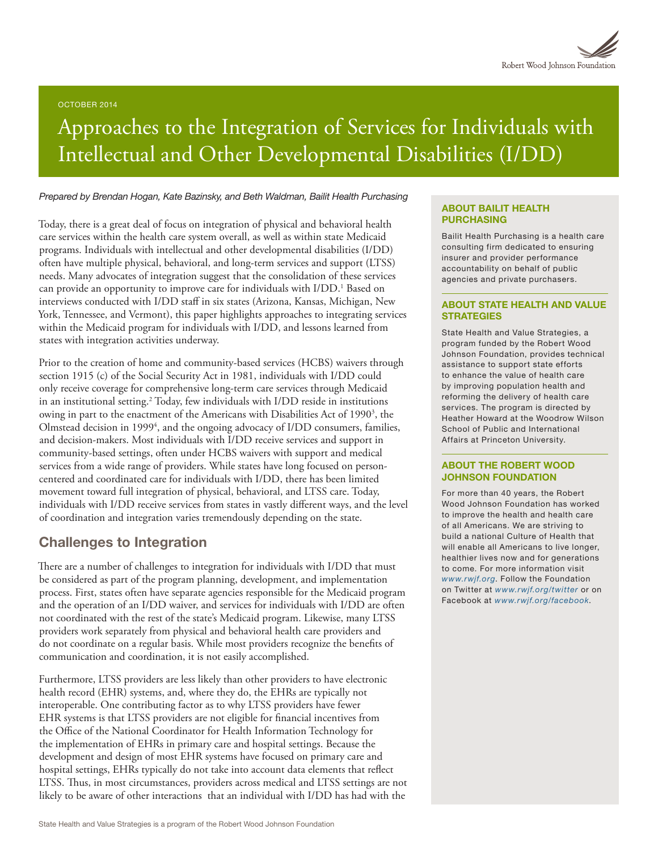

#### OCTOBER 2014

# Approaches to the Integration of Services for Individuals with Intellectual and Other Developmental Disabilities (I/DD)

#### *Prepared by Brendan Hogan, Kate Bazinsky, and Beth Waldman, Bailit Health Purchasing*

Today, there is a great deal of focus on integration of physical and behavioral health care services within the health care system overall, as well as within state Medicaid programs. Individuals with intellectual and other developmental disabilities (I/DD) often have multiple physical, behavioral, and long-term services and support (LTSS) needs. Many advocates of integration suggest that the consolidation of these services can provide an opportunity to improve care for individuals with I/DD.<sup>1</sup> Based on interviews conducted with I/DD staff in six states (Arizona, Kansas, Michigan, New York, Tennessee, and Vermont), this paper highlights approaches to integrating services within the Medicaid program for individuals with I/DD, and lessons learned from states with integration activities underway.

Prior to the creation of home and community-based services (HCBS) waivers through section 1915 (c) of the Social Security Act in 1981, individuals with I/DD could only receive coverage for comprehensive long-term care services through Medicaid in an institutional setting.2 Today, few individuals with I/DD reside in institutions owing in part to the enactment of the Americans with Disabilities Act of 1990<sup>3</sup>, the Olmstead decision in 1999<sup>4</sup>, and the ongoing advocacy of I/DD consumers, families, and decision-makers. Most individuals with I/DD receive services and support in community-based settings, often under HCBS waivers with support and medical services from a wide range of providers. While states have long focused on personcentered and coordinated care for individuals with I/DD, there has been limited movement toward full integration of physical, behavioral, and LTSS care. Today, individuals with I/DD receive services from states in vastly different ways, and the level of coordination and integration varies tremendously depending on the state.

## Challenges to Integration

There are a number of challenges to integration for individuals with I/DD that must be considered as part of the program planning, development, and implementation process. First, states often have separate agencies responsible for the Medicaid program and the operation of an I/DD waiver, and services for individuals with I/DD are often not coordinated with the rest of the state's Medicaid program. Likewise, many LTSS providers work separately from physical and behavioral health care providers and do not coordinate on a regular basis. While most providers recognize the benefits of communication and coordination, it is not easily accomplished.

Furthermore, LTSS providers are less likely than other providers to have electronic health record (EHR) systems, and, where they do, the EHRs are typically not interoperable. One contributing factor as to why LTSS providers have fewer EHR systems is that LTSS providers are not eligible for financial incentives from the Office of the National Coordinator for Health Information Technology for the implementation of EHRs in primary care and hospital settings. Because the development and design of most EHR systems have focused on primary care and hospital settings, EHRs typically do not take into account data elements that reflect LTSS. Thus, in most circumstances, providers across medical and LTSS settings are not likely to be aware of other interactions that an individual with I/DD has had with the

#### ABOUT BAILIT HEALTH PURCHASING

Bailit Health Purchasing is a health care consulting firm dedicated to ensuring insurer and provider performance accountability on behalf of public agencies and private purchasers.

#### ABOUT STATE HEALTH AND VALUE **STRATEGIES**

State Health and Value Strategies, a program funded by the Robert Wood Johnson Foundation, provides technical assistance to support state efforts to enhance the value of health care by improving population health and reforming the delivery of health care services. The program is directed by Heather Howard at the Woodrow Wilson School of Public and International Affairs at Princeton University.

#### ABOUT THE ROBERT WOOD JOHNSON FOUNDATION

For more than 40 years, the Robert Wood Johnson Foundation has worked to improve the health and health care of all Americans. We are striving to build a national Culture of Health that will enable all Americans to live longer, healthier lives now and for generations to come. For more information visit *[www.rwjf.org](http://www.rwjf.org/)*. Follow the Foundation on Twitter at *[www.rwjf.org/twitter](http://www.rwjf.org/twitter)* or on Facebook at *[www.rwjf.org/facebook](http://www.rwjf.org/facebook)*.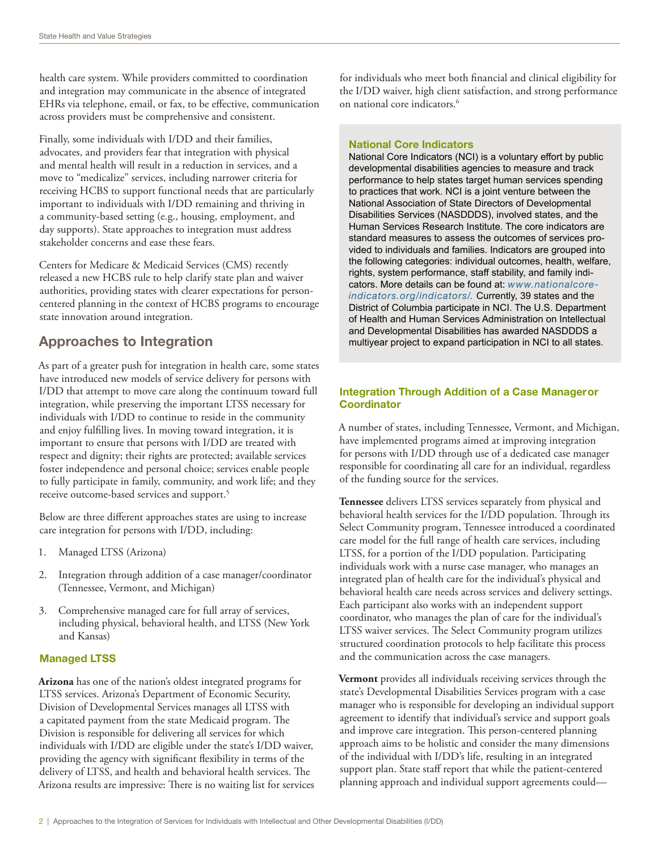health care system. While providers committed to coordination and integration may communicate in the absence of integrated EHRs via telephone, email, or fax, to be effective, communication across providers must be comprehensive and consistent.

Finally, some individuals with I/DD and their families, advocates, and providers fear that integration with physical and mental health will result in a reduction in services, and a move to "medicalize" services, including narrower criteria for receiving HCBS to support functional needs that are particularly important to individuals with I/DD remaining and thriving in a community-based setting (e.g., housing, employment, and day supports). State approaches to integration must address stakeholder concerns and ease these fears.

Centers for Medicare & Medicaid Services (CMS) recently released a new HCBS rule to help clarify state plan and waiver authorities, providing states with clearer expectations for personcentered planning in the context of HCBS programs to encourage state innovation around integration.

# Approaches to Integration

As part of a greater push for integration in health care, some states have introduced new models of service delivery for persons with I/DD that attempt to move care along the continuum toward full integration, while preserving the important LTSS necessary for individuals with I/DD to continue to reside in the community and enjoy fulfilling lives. In moving toward integration, it is important to ensure that persons with I/DD are treated with respect and dignity; their rights are protected; available services foster independence and personal choice; services enable people to fully participate in family, community, and work life; and they receive outcome-based services and support.5

Below are three different approaches states are using to increase care integration for persons with I/DD, including:

- 1. Managed LTSS (Arizona)
- 2. Integration through addition of a case manager/coordinator (Tennessee, Vermont, and Michigan)
- 3. Comprehensive managed care for full array of services, including physical, behavioral health, and LTSS (New York and Kansas)

## Managed LTSS

**Arizona** has one of the nation's oldest integrated programs for LTSS services. Arizona's Department of Economic Security, Division of Developmental Services manages all LTSS with a capitated payment from the state Medicaid program. The Division is responsible for delivering all services for which individuals with I/DD are eligible under the state's I/DD waiver, providing the agency with significant flexibility in terms of the delivery of LTSS, and health and behavioral health services. The Arizona results are impressive: There is no waiting list for services for individuals who meet both financial and clinical eligibility for the I/DD waiver, high client satisfaction, and strong performance on national core indicators.<sup>6</sup>

### National Core Indicators

National Core Indicators (NCI) is a voluntary effort by public developmental disabilities agencies to measure and track performance to help states target human services spending to practices that work. NCI is a joint venture between the National Association of State Directors of Developmental Disabilities Services (NASDDDS), involved states, and the Human Services Research Institute. The core indicators are standard measures to assess the outcomes of services provided to individuals and families. Indicators are grouped into the following categories: individual outcomes, health, welfare, rights, system performance, staff stability, and family indicators. More details can be found at: *www.nationalcoreindicators.org/indicators/.* Currently, 39 states and the District of Columbia participate in NCI. The U.S. Department of Health and Human Services Administration on Intellectual and Developmental Disabilities has awarded NASDDDS a multiyear project to expand participation in NCI to all states.

## Integration Through Addition of a Case Manageror **Coordinator**

A number of states, including Tennessee, Vermont, and Michigan, have implemented programs aimed at improving integration for persons with I/DD through use of a dedicated case manager responsible for coordinating all care for an individual, regardless of the funding source for the services.

**Tennessee** delivers LTSS services separately from physical and behavioral health services for the I/DD population. Through its Select Community program, Tennessee introduced a coordinated care model for the full range of health care services, including LTSS, for a portion of the I/DD population. Participating individuals work with a nurse case manager, who manages an integrated plan of health care for the individual's physical and behavioral health care needs across services and delivery settings. Each participant also works with an independent support coordinator, who manages the plan of care for the individual's LTSS waiver services. The Select Community program utilizes structured coordination protocols to help facilitate this process and the communication across the case managers.

**Vermont** provides all individuals receiving services through the state's Developmental Disabilities Services program with a case manager who is responsible for developing an individual support agreement to identify that individual's service and support goals and improve care integration. This person-centered planning approach aims to be holistic and consider the many dimensions of the individual with I/DD's life, resulting in an integrated support plan. State staff report that while the patient-centered planning approach and individual support agreements could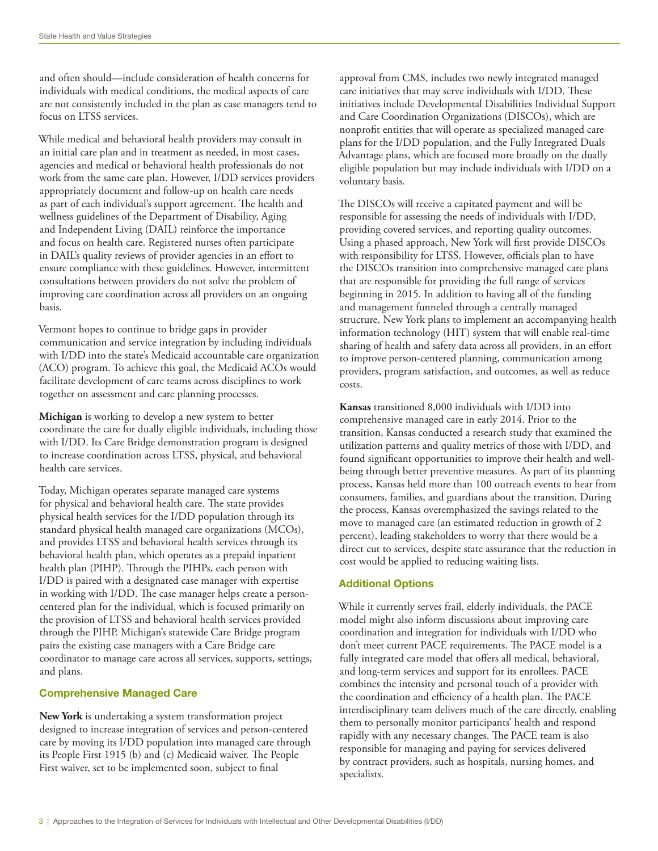and often should—include consideration of health concerns for individuals with medical conditions, the medical aspects of care are not consistently included in the plan as case managers tend to focus on LTSS services.

While medical and behavioral health providers may consult in an initial care plan and in treatment as needed, in most cases, agencies and medical or behavioral health professionals do not work from the same care plan. However, I/DD services providers appropriately document and follow-up on health care needs as part of each individual's support agreement. The health and wellness guidelines of the Department of Disability, Aging and Independent Living (DAIL) reinforce the importance and focus on health care. Registered nurses often participate in DAIL's quality reviews of provider agencies in an effort to ensure compliance with these guidelines. However, intermittent consultations between providers do not solve the problem of improving care coordination across all providers on an ongoing basis.

Vermont hopes to continue to bridge gaps in provider communication and service integration by including individuals with I/DD into the state's Medicaid accountable care organization (ACO) program. To achieve this goal, the Medicaid ACOs would facilitate development of care teams across disciplines to work together on assessment and care planning processes.

**Michigan** is working to develop a new system to better coordinate the care for dually eligible individuals, including those with I/DD. Its Care Bridge demonstration program is designed to increase coordination across LTSS, physical, and behavioral health care services.

Today, Michigan operates separate managed care systems for physical and behavioral health care. The state provides physical health services for the I/DD population through its standard physical health managed care organizations (MCOs), and provides LTSS and behavioral health services through its behavioral health plan, which operates as a prepaid inpatient health plan (PIHP). Through the PIHPs, each person with I/DD is paired with a designated case manager with expertise in working with I/DD. The case manager helps create a personcentered plan for the individual, which is focused primarily on the provision of LTSS and behavioral health services provided through the PIHP. Michigan's statewide Care Bridge program pairs the existing case managers with a Care Bridge care coordinator to manage care across all services, supports, settings, and plans.

### Comprehensive Managed Care

**New York** is undertaking a system transformation project designed to increase integration of services and person-centered care by moving its I/DD population into managed care through its People First 1915 (b) and (c) Medicaid waiver. The People First waiver, set to be implemented soon, subject to final

approval from CMS, includes two newly integrated managed care initiatives that may serve individuals with I/DD. These initiatives include Developmental Disabilities Individual Support and Care Coordination Organizations (DISCOs), which are nonprofit entities that will operate as specialized managed care plans for the I/DD population, and the Fully Integrated Duals Advantage plans, which are focused more broadly on the dually eligible population but may include individuals with I/DD on a voluntary basis.

The DISCOs will receive a capitated payment and will be responsible for assessing the needs of individuals with I/DD, providing covered services, and reporting quality outcomes. Using a phased approach, New York will first provide DISCOs with responsibility for LTSS. However, officials plan to have the DISCOs transition into comprehensive managed care plans that are responsible for providing the full range of services beginning in 2015. In addition to having all of the funding and management funneled through a centrally managed structure, New York plans to implement an accompanying health information technology (HIT) system that will enable real-time sharing of health and safety data across all providers, in an effort to improve person-centered planning, communication among providers, program satisfaction, and outcomes, as well as reduce costs.

**Kansas** transitioned 8,000 individuals with I/DD into comprehensive managed care in early 2014. Prior to the transition, Kansas conducted a research study that examined the utilization patterns and quality metrics of those with I/DD, and found significant opportunities to improve their health and wellbeing through better preventive measures. As part of its planning process, Kansas held more than 100 outreach events to hear from consumers, families, and guardians about the transition. During the process, Kansas overemphasized the savings related to the move to managed care (an estimated reduction in growth of 2 percent), leading stakeholders to worry that there would be a direct cut to services, despite state assurance that the reduction in cost would be applied to reducing waiting lists.

#### Additional Options

While it currently serves frail, elderly individuals, the PACE model might also inform discussions about improving care coordination and integration for individuals with I/DD who don't meet current PACE requirements. The PACE model is a fully integrated care model that offers all medical, behavioral, and long-term services and support for its enrollees. PACE combines the intensity and personal touch of a provider with the coordination and efficiency of a health plan. The PACE interdisciplinary team delivers much of the care directly, enabling them to personally monitor participants' health and respond rapidly with any necessary changes. The PACE team is also responsible for managing and paying for services delivered by contract providers, such as hospitals, nursing homes, and specialists.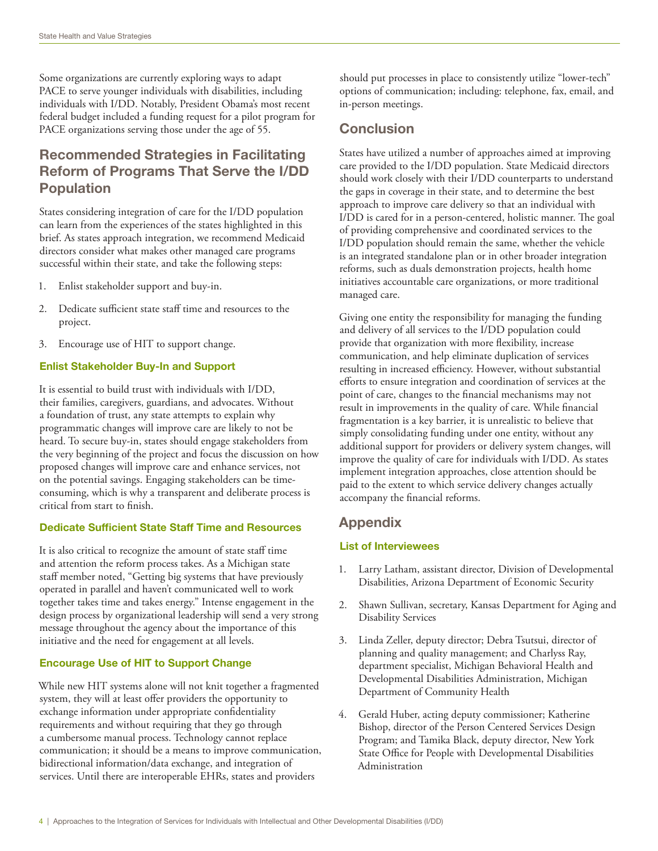Some organizations are currently exploring ways to adapt PACE to serve younger individuals with disabilities, including individuals with I/DD. Notably, President Obama's most recent federal budget included a funding request for a pilot program for PACE organizations serving those under the age of 55.

# Recommended Strategies in Facilitating Reform of Programs That Serve the I/DD Population

States considering integration of care for the I/DD population can learn from the experiences of the states highlighted in this brief. As states approach integration, we recommend Medicaid directors consider what makes other managed care programs successful within their state, and take the following steps:

- 1. Enlist stakeholder support and buy-in.
- 2. Dedicate sufficient state staff time and resources to the project.
- 3. Encourage use of HIT to support change.

#### Enlist Stakeholder Buy-In and Support

It is essential to build trust with individuals with I/DD, their families, caregivers, guardians, and advocates. Without a foundation of trust, any state attempts to explain why programmatic changes will improve care are likely to not be heard. To secure buy-in, states should engage stakeholders from the very beginning of the project and focus the discussion on how proposed changes will improve care and enhance services, not on the potential savings. Engaging stakeholders can be timeconsuming, which is why a transparent and deliberate process is critical from start to finish.

#### Dedicate Sufficient State Staff Time and Resources

It is also critical to recognize the amount of state staff time and attention the reform process takes. As a Michigan state staff member noted, "Getting big systems that have previously operated in parallel and haven't communicated well to work together takes time and takes energy." Intense engagement in the design process by organizational leadership will send a very strong message throughout the agency about the importance of this initiative and the need for engagement at all levels.

#### Encourage Use of HIT to Support Change

While new HIT systems alone will not knit together a fragmented system, they will at least offer providers the opportunity to exchange information under appropriate confidentiality requirements and without requiring that they go through a cumbersome manual process. Technology cannot replace communication; it should be a means to improve communication, bidirectional information/data exchange, and integration of services. Until there are interoperable EHRs, states and providers

should put processes in place to consistently utilize "lower-tech" options of communication; including: telephone, fax, email, and in-person meetings.

# **Conclusion**

States have utilized a number of approaches aimed at improving care provided to the I/DD population. State Medicaid directors should work closely with their I/DD counterparts to understand the gaps in coverage in their state, and to determine the best approach to improve care delivery so that an individual with I/DD is cared for in a person-centered, holistic manner. The goal of providing comprehensive and coordinated services to the I/DD population should remain the same, whether the vehicle is an integrated standalone plan or in other broader integration reforms, such as duals demonstration projects, health home initiatives accountable care organizations, or more traditional managed care.

Giving one entity the responsibility for managing the funding and delivery of all services to the I/DD population could provide that organization with more flexibility, increase communication, and help eliminate duplication of services resulting in increased efficiency. However, without substantial efforts to ensure integration and coordination of services at the point of care, changes to the financial mechanisms may not result in improvements in the quality of care. While financial fragmentation is a key barrier, it is unrealistic to believe that simply consolidating funding under one entity, without any additional support for providers or delivery system changes, will improve the quality of care for individuals with I/DD. As states implement integration approaches, close attention should be paid to the extent to which service delivery changes actually accompany the financial reforms.

# Appendix

#### List of Interviewees

- 1. Larry Latham, assistant director, Division of Developmental Disabilities, Arizona Department of Economic Security
- 2. Shawn Sullivan, secretary, Kansas Department for Aging and Disability Services
- 3. Linda Zeller, deputy director; Debra Tsutsui, director of planning and quality management; and Charlyss Ray, department specialist, Michigan Behavioral Health and Developmental Disabilities Administration, Michigan Department of Community Health
- 4. Gerald Huber, acting deputy commissioner; Katherine Bishop, director of the Person Centered Services Design Program; and Tamika Black, deputy director, New York State Office for People with Developmental Disabilities Administration